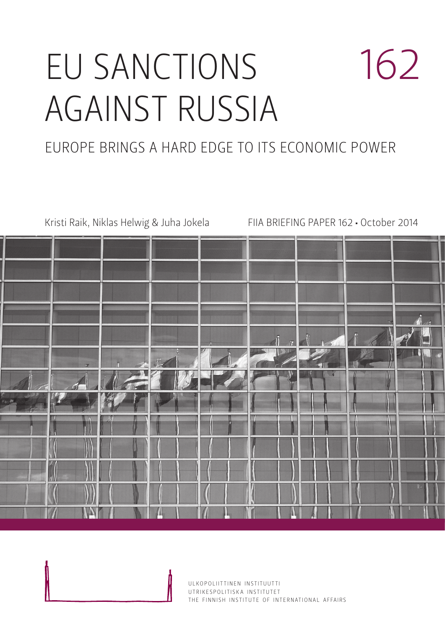# EU SANCTIONS AGAINST RUSSIA 162

# EUROPE BRINGS A HARD EDGE TO ITS ECONOMIC POWER

Kristi Raik, Niklas Helwig & Juha Jokela FIIA BRIEFING PAPER 162 • October 2014

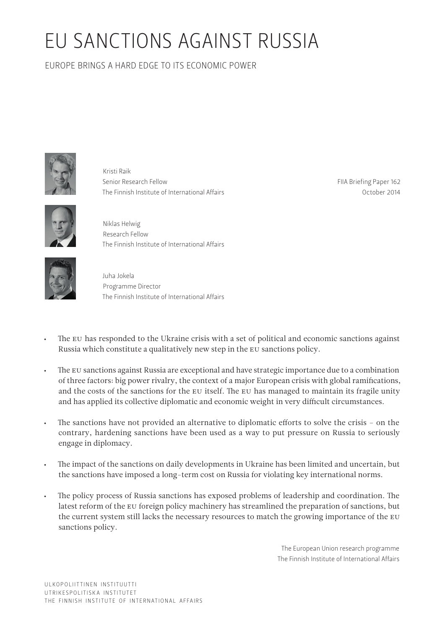# EU SANCTIONS AGAINST RUSSIA

EUROPE BRINGS A HARD EDGE TO ITS ECONOMIC POWER



Kristi Raik Senior Research Fellow The Finnish Institute of International Affairs

FIIA Briefing Paper 162 October 2014



Niklas Helwig Research Fellow The Finnish Institute of International Affairs



Juha Jokela Programme Director The Finnish Institute of International Affairs

- The EU has responded to the Ukraine crisis with a set of political and economic sanctions against Russia which constitute a qualitatively new step in the EU sanctions policy.
- The EU sanctions against Russia are exceptional and have strategic importance due to a combination of three factors: big power rivalry, the context of a major European crisis with global ramifications, and the costs of the sanctions for the EU itself. The EU has managed to maintain its fragile unity and has applied its collective diplomatic and economic weight in very difficult circumstances.
- The sanctions have not provided an alternative to diplomatic efforts to solve the crisis on the contrary, hardening sanctions have been used as a way to put pressure on Russia to seriously engage in diplomacy.
- The impact of the sanctions on daily developments in Ukraine has been limited and uncertain, but the sanctions have imposed a long-term cost on Russia for violating key international norms.
- The policy process of Russia sanctions has exposed problems of leadership and coordination. The latest reform of the EU foreign policy machinery has streamlined the preparation of sanctions, but the current system still lacks the necessary resources to match the growing importance of the EU sanctions policy.

The European Union research programme The Finnish Institute of International Affairs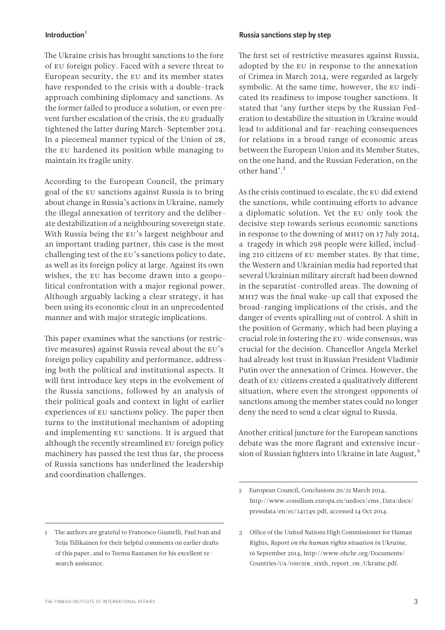### Introduction $1$

The Ukraine crisis has brought sanctions to the fore of EU foreign policy. Faced with a severe threat to European security, the EU and its member states have responded to the crisis with a double-track approach combining diplomacy and sanctions. As the former failed to produce a solution, or even prevent further escalation of the crisis, the EU gradually tightened the latter during March–September 2014. In a piecemeal manner typical of the Union of 28, the EU hardened its position while managing to maintain its fragile unity.

According to the European Council, the primary goal of the EU sanctions against Russia is to bring about change in Russia's actions in Ukraine, namely the illegal annexation of territory and the deliberate destabilization of a neighbouring sovereign state. With Russia being the EU's largest neighbour and an important trading partner, this case is the most challenging test of the EU's sanctions policy to date, as well as its foreign policy at large. Against its own wishes, the EU has become drawn into a geopolitical confrontation with a major regional power. Although arguably lacking a clear strategy, it has been using its economic clout in an unprecedented manner and with major strategic implications.

This paper examines what the sanctions (or restrictive measures) against Russia reveal about the EU's foreign policy capability and performance, addressing both the political and institutional aspects. It will first introduce key steps in the evolvement of the Russia sanctions, followed by an analysis of their political goals and context in light of earlier experiences of EU sanctions policy. The paper then turns to the institutional mechanism of adopting and implementing EU sanctions. It is argued that although the recently streamlined EU foreign policy machinery has passed the test thus far, the process of Russia sanctions has underlined the leadership and coordination challenges.

#### Russia sanctions step by step

The first set of restrictive measures against Russia, adopted by the EU in response to the annexation of Crimea in March 2014, were regarded as largely symbolic. At the same time, however, the EU indicated its readiness to impose tougher sanctions. It stated that 'any further steps by the Russian Federation to destabilize the situation in Ukraine would lead to additional and far-reaching consequences for relations in a broad range of economic areas between the European Union and its Member States, on the one hand, and the Russian Federation, on the other hand'.<sup>2</sup>

As the crisis continued to escalate, the EU did extend the sanctions, while continuing efforts to advance a diplomatic solution. Yet the EU only took the decisive step towards serious economic sanctions in response to the downing of MH17 on 17 July 2014, a tragedy in which 298 people were killed, including 210 citizens of EU member states. By that time, the Western and Ukrainian media had reported that several Ukrainian military aircraft had been downed in the separatist-controlled areas. The downing of MH17 was the final wake-up call that exposed the broad-ranging implications of the crisis, and the danger of events spiralling out of control. A shift in the position of Germany, which had been playing a crucial role in fostering the EU-wide consensus, was crucial for the decision. Chancellor Angela Merkel had already lost trust in Russian President Vladimir Putin over the annexation of Crimea. However, the death of EU citizens created a qualitatively different situation, where even the strongest opponents of sanctions among the member states could no longer deny the need to send a clear signal to Russia.

Another critical juncture for the European sanctions debate was the more flagrant and extensive incursion of Russian fighters into Ukraine in late August,<sup>3</sup>

<sup>1</sup> The authors are grateful to Francesco Giumelli, Paul Ivan and Teija Tiilikainen for their helpful comments on earlier drafts of this paper, and to Teemu Rantanen for his excellent research assistance.

<sup>2</sup> European Council, Conclusions 20/21 March 2014, [http://www.consilium.europa.eu/uedocs/cms\\_Data/docs/](http://www.consilium.europa.eu/uedocs/cms_Data/docs/pressdata/en/ec/141749.pdf) [pressdata/en/ec/141749.pdf,](http://www.consilium.europa.eu/uedocs/cms_Data/docs/pressdata/en/ec/141749.pdf) accessed 14 Oct 2014.

<sup>3</sup> Office of the United Nations High Commissioner for Human Rights, *Report on the human rights situation in Ukraine*, 16 September 2014, [http://www.ohchr.org/Documents/](http://www.ohchr.org/Documents/Countries/UA/OHCHR_sixth_report_on_Ukraine.pdf) [Countries/UA/OHCHR\\_sixth\\_report\\_on\\_Ukraine.pdf.](http://www.ohchr.org/Documents/Countries/UA/OHCHR_sixth_report_on_Ukraine.pdf)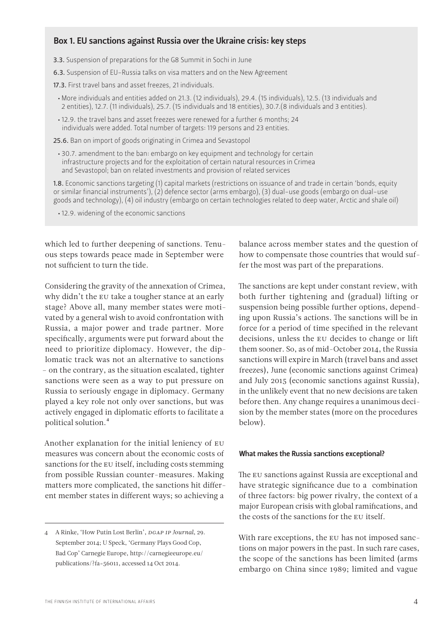# Box 1. EU sanctions against Russia over the Ukraine crisis: key steps

3.3. Suspension of preparations for the G8 Summit in Sochi in June

6.3. Suspension of EU-Russia talks on visa matters and on the New Agreement

17.3. First travel bans and asset freezes, 21 individuals.

- More individuals and entities added on 21.3. (12 individuals), 29.4. (15 individuals), 12.5. (13 individuals and 2 entities), 12.7. (11 individuals), 25.7. (15 individuals and 18 entities), 30.7.(8 individuals and 3 entities).
- 12.9. the travel bans and asset freezes were renewed for a further 6 months; 24 individuals were added. Total number of targets: 119 persons and 23 entities.

25.6. Ban on import of goods originating in Crimea and Sevastopol

• 30.7. amendment to the ban: embargo on key equipment and technology for certain infrastructure projects and for the exploitation of certain natural resources in Crimea and Sevastopol; ban on related investments and provision of related services

1.8. Economic sanctions targeting (1) capital markets (restrictions on issuance of and trade in certain 'bonds, equity or similar financial instruments'), (2) defence sector (arms embargo), (3) dual-use goods (embargo on dual-use goods and technology), (4) oil industry (embargo on certain technologies related to deep water, Arctic and shale oil)

• 12.9. widening of the economic sanctions

which led to further deepening of sanctions. Tenuous steps towards peace made in September were not sufficient to turn the tide.

Considering the gravity of the annexation of Crimea, why didn't the EU take a tougher stance at an early stage? Above all, many member states were motivated by a general wish to avoid confrontation with Russia, a major power and trade partner. More specifically, arguments were put forward about the need to prioritize diplomacy. However, the diplomatic track was not an alternative to sanctions – on the contrary, as the situation escalated, tighter sanctions were seen as a way to put pressure on Russia to seriously engage in diplomacy. Germany played a key role not only over sanctions, but was actively engaged in diplomatic efforts to facilitate a political solution.4

Another explanation for the initial leniency of EU measures was concern about the economic costs of sanctions for the EU itself, including costs stemming from possible Russian counter-measures. Making matters more complicated, the sanctions hit different member states in different ways; so achieving a

balance across member states and the question of how to compensate those countries that would suffer the most was part of the preparations.

The sanctions are kept under constant review, with both further tightening and (gradual) lifting or suspension being possible further options, depending upon Russia's actions. The sanctions will be in force for a period of time specified in the relevant decisions, unless the EU decides to change or lift them sooner. So, as of mid-October 2014, the Russia sanctions will expire in March (travel bans and asset freezes), June (economic sanctions against Crimea) and July 2015 (economic sanctions against Russia), in the unlikely event that no new decisions are taken before then. Any change requires a unanimous decision by the member states (more on the procedures below).

#### What makes the Russia sanctions exceptional?

The EU sanctions against Russia are exceptional and have strategic significance due to a combination of three factors: big power rivalry, the context of a major European crisis with global ramifications, and the costs of the sanctions for the EU itself.

With rare exceptions, the EU has not imposed sanctions on major powers in the past. In such rare cases, the scope of the sanctions has been limited (arms embargo on China since 1989; limited and vague

<sup>4</sup> A Rinke, 'How Putin Lost Berlin', *DGAP IP Journal*, 29. September 2014; U Speck, 'Germany Plays Good Cop, Bad Cop' Carnegie Europe, [http://carnegieeurope.eu/](http://carnegieeurope.eu/publications/?fa=56011) [publications/?fa=56011,](http://carnegieeurope.eu/publications/?fa=56011) accessed 14 Oct 2014.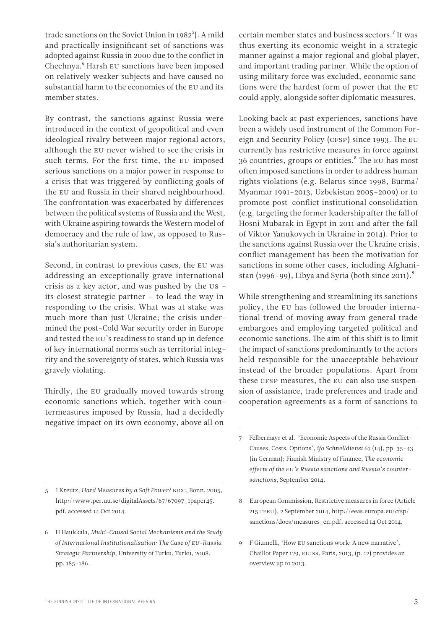trade sanctions on the Soviet Union in  $1982^5$ ). A mild and practically insignificant set of sanctions was adopted against Russia in 2000 due to the conflict in Chechnya.<sup>6</sup> Harsh EU sanctions have been imposed on relatively weaker subjects and have caused no substantial harm to the economies of the EU and its member states.

By contrast, the sanctions against Russia were introduced in the context of geopolitical and even ideological rivalry between major regional actors, although the EU never wished to see the crisis in such terms. For the first time, the EU imposed serious sanctions on a major power in response to a crisis that was triggered by conflicting goals of the EU and Russia in their shared neighbourhood. The confrontation was exacerbated by differences between the political systems of Russia and the West, with Ukraine aspiring towards the Western model of democracy and the rule of law, as opposed to Russia's authoritarian system.

Second, in contrast to previous cases, the EU was addressing an exceptionally grave international crisis as a key actor, and was pushed by the US – its closest strategic partner – to lead the way in responding to the crisis. What was at stake was much more than just Ukraine; the crisis undermined the post-Cold War security order in Europe and tested the EU's readiness to stand up in defence of key international norms such as territorial integrity and the sovereignty of states, which Russia was gravely violating.

Thirdly, the EU gradually moved towards strong economic sanctions which, together with countermeasures imposed by Russia, had a decidedly negative impact on its own economy, above all on

- 5 J Kreutz, *Hard Measures by a Soft Power?* BICC, Bonn, 2005, [http://www.pcr.uu.se/digitalAssets/67/67097\\_1paper45.](http://www.pcr.uu.se/digitalAssets/67/67097_1paper45.pdf) [pdf,](http://www.pcr.uu.se/digitalAssets/67/67097_1paper45.pdf) accessed 14 Oct 2014.
- 6 H Haukkala, *Multi-Causal Social Mechanisms and the Study of International Institutionalisation: The Case of EU-Russia Strategic Partnership*, University of Turku, Turku, 2008, pp. 185–186.

certain member states and business sectors.7 It was thus exerting its economic weight in a strategic manner against a major regional and global player, and important trading partner. While the option of using military force was excluded, economic sanctions were the hardest form of power that the EU could apply, alongside softer diplomatic measures.

Looking back at past experiences, sanctions have been a widely used instrument of the Common Foreign and Security Policy (CFSP) since 1993. The EU currently has restrictive measures in force against 36 countries, groups or entities.<sup>8</sup> The EU has most often imposed sanctions in order to address human rights violations (e.g. Belarus since 1998, Burma/ Myanmar 1991–2013, Uzbekistan 2005–2009) or to promote post-conflict institutional consolidation (e.g. targeting the former leadership after the fall of Hosni Mubarak in Egypt in 2011 and after the fall of Viktor Yanukovych in Ukraine in 2014). Prior to the sanctions against Russia over the Ukraine crisis, conflict management has been the motivation for sanctions in some other cases, including Afghanistan (1996–99), Libya and Syria (both since 2011).<sup>9</sup>

While strengthening and streamlining its sanctions policy, the EU has followed the broader international trend of moving away from general trade embargoes and employing targeted political and economic sanctions. The aim of this shift is to limit the impact of sanctions predominantly to the actors held responsible for the unacceptable behaviour instead of the broader populations. Apart from these CFSP measures, the EU can also use suspension of assistance, trade preferences and trade and cooperation agreements as a form of sanctions to

- 8 European Commission, Restrictive measures in force (Article 215 TFEU), 2 September 2014, [http://eeas.europa.eu/cfsp/](http://eeas.europa.eu/cfsp/sanctions/docs/measures_en.pdf) [sanctions/docs/measures\\_en.pdf](http://eeas.europa.eu/cfsp/sanctions/docs/measures_en.pdf), accessed 14 Oct 2014.
- 9 F Giumelli, 'How EU sanctions work: A new narrative', Chaillot Paper 129, EUISS, Paris, 2013, (p. 12) provides an overview up to 2013.

<sup>7</sup> Felbermayr et al. 'Economic Aspects of the Russia Conflict: Causes, Costs, Options', *ifo Schnelldienst* 67 (14), pp. 35–43 (in German); Finnish Ministry of Finance, *The economic effects of the EU's Russia sanctions and Russia's countersanctions*, September 2014.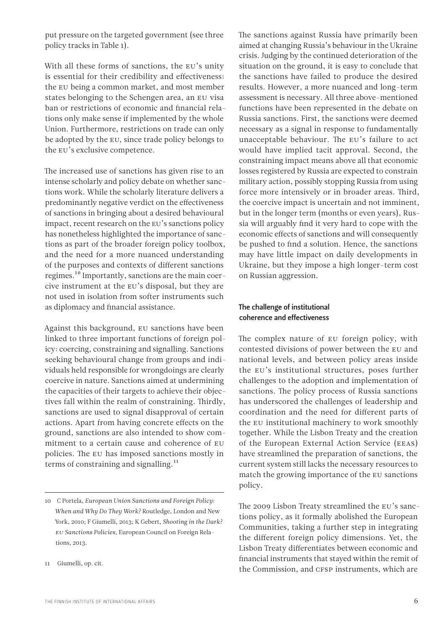put pressure on the targeted government (see three policy tracks in Table 1).

With all these forms of sanctions, the EU's unity is essential for their credibility and effectiveness: the EU being a common market, and most member states belonging to the Schengen area, an EU visa ban or restrictions of economic and financial relations only make sense if implemented by the whole Union. Furthermore, restrictions on trade can only be adopted by the EU, since trade policy belongs to the EU's exclusive competence.

The increased use of sanctions has given rise to an intense scholarly and policy debate on whether sanctions work. While the scholarly literature delivers a predominantly negative verdict on the effectiveness of sanctions in bringing about a desired behavioural impact, recent research on the EU's sanctions policy has nonetheless highlighted the importance of sanctions as part of the broader foreign policy toolbox, and the need for a more nuanced understanding of the purposes and contexts of different sanctions regimes.10 Importantly, sanctions are the main coercive instrument at the EU's disposal, but they are not used in isolation from softer instruments such as diplomacy and financial assistance.

Against this background, EU sanctions have been linked to three important functions of foreign policy: coercing, constraining and signalling. Sanctions seeking behavioural change from groups and individuals held responsible for wrongdoings are clearly coercive in nature. Sanctions aimed at undermining the capacities of their targets to achieve their objectives fall within the realm of constraining. Thirdly, sanctions are used to signal disapproval of certain actions. Apart from having concrete effects on the ground, sanctions are also intended to show commitment to a certain cause and coherence of EU policies. The EU has imposed sanctions mostly in terms of constraining and signalling. $^{11}$ 

The sanctions against Russia have primarily been aimed at changing Russia's behaviour in the Ukraine crisis. Judging by the continued deterioration of the situation on the ground, it is easy to conclude that the sanctions have failed to produce the desired results. However, a more nuanced and long-term assessment is necessary. All three above-mentioned functions have been represented in the debate on Russia sanctions. First, the sanctions were deemed necessary as a signal in response to fundamentally unacceptable behaviour. The EU's failure to act would have implied tacit approval. Second, the constraining impact means above all that economic losses registered by Russia are expected to constrain military action, possibly stopping Russia from using force more intensively or in broader areas. Third, the coercive impact is uncertain and not imminent, but in the longer term (months or even years), Russia will arguably find it very hard to cope with the economic effects of sanctions and will consequently be pushed to find a solution. Hence, the sanctions may have little impact on daily developments in Ukraine, but they impose a high longer-term cost on Russian aggression.

### The challenge of institutional coherence and effectiveness

The complex nature of EU foreign policy, with contested divisions of power between the EU and national levels, and between policy areas inside the EU's institutional structures, poses further challenges to the adoption and implementation of sanctions. The policy process of Russia sanctions has underscored the challenges of leadership and coordination and the need for different parts of the EU institutional machinery to work smoothly together. While the Lisbon Treaty and the creation of the European External Action Service (EEAS) have streamlined the preparation of sanctions, the current system still lacks the necessary resources to match the growing importance of the EU sanctions policy.

The 2009 Lisbon Treaty streamlined the EU's sanctions policy, as it formally abolished the European Communities, taking a further step in integrating the different foreign policy dimensions. Yet, the Lisbon Treaty differentiates between economic and financial instruments that stayed within the remit of the Commission, and CFSP instruments, which are

<sup>10</sup> C Portela, *European Union Sanctions and Foreign Policy: When and Why Do They Work?* Routledge, London and New York, 2010; F Giumelli, 2013; K Gebert, *Shooting in the Dark? EU Sanctions Policies*, European Council on Foreign Relations, 2013.

<sup>11</sup> Giumelli, op. cit.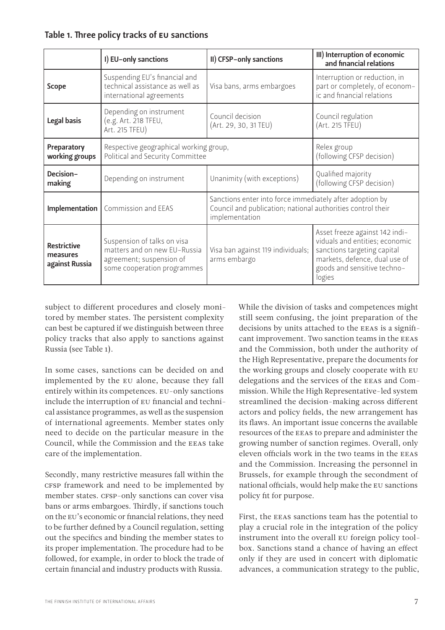# Table 1. Three policy tracks of EU sanctions

|                                                  | I) EU-only sanctions                                                                                                   | II) CFSP-only sanctions                                                                                                                   | III) Interruption of economic<br>and financial relations                                                                                                                  |
|--------------------------------------------------|------------------------------------------------------------------------------------------------------------------------|-------------------------------------------------------------------------------------------------------------------------------------------|---------------------------------------------------------------------------------------------------------------------------------------------------------------------------|
| <b>Scope</b>                                     | Suspending EU's financial and<br>technical assistance as well as<br>international agreements                           | Visa bans, arms embargoes                                                                                                                 | Interruption or reduction, in<br>part or completely, of econom-<br>ic and financial relations                                                                             |
| Legal basis                                      | Depending on instrument<br>(e.g. Art. 218 TFEU,<br>Art. 215 TFEU)                                                      | Council decision<br>(Art. 29, 30, 31 TEU)                                                                                                 | Council regulation<br>(Art. 215 TFEU)                                                                                                                                     |
| Preparatory<br>working groups                    | Respective geographical working group,<br>Political and Security Committee                                             |                                                                                                                                           | Relex group<br>(following CFSP decision)                                                                                                                                  |
| Decision-<br>making                              | Depending on instrument                                                                                                | Unanimity (with exceptions)                                                                                                               | Qualified majority<br>(following CFSP decision)                                                                                                                           |
|                                                  | Implementation   Commission and EEAS                                                                                   | Sanctions enter into force immediately after adoption by<br>Council and publication; national authorities control their<br>implementation |                                                                                                                                                                           |
| <b>Restrictive</b><br>measures<br>against Russia | Suspension of talks on visa<br>matters and on new EU-Russia<br>agreement; suspension of<br>some cooperation programmes | Visa ban against 119 individuals;<br>arms embargo                                                                                         | Asset freeze against 142 indi-<br>viduals and entities; economic<br>sanctions targeting capital<br>markets, defence, dual use of<br>goods and sensitive techno-<br>logies |

subject to different procedures and closely monitored by member states. The persistent complexity can best be captured if we distinguish between three policy tracks that also apply to sanctions against Russia (see Table 1).

In some cases, sanctions can be decided on and implemented by the EU alone, because they fall entirely within its competences. EU-only sanctions include the interruption of EU financial and technical assistance programmes, as well as the suspension of international agreements. Member states only need to decide on the particular measure in the Council, while the Commission and the EEAS take care of the implementation.

Secondly, many restrictive measures fall within the CFSP framework and need to be implemented by member states. CFSP-only sanctions can cover visa bans or arms embargoes. Thirdly, if sanctions touch on the EU's economic or financial relations, they need to be further defined by a Council regulation, setting out the specifics and binding the member states to its proper implementation. The procedure had to be followed, for example, in order to block the trade of certain financial and industry products with Russia.

While the division of tasks and competences might still seem confusing, the joint preparation of the decisions by units attached to the EEAS is a significant improvement. Two sanction teams in the EEAS and the Commission, both under the authority of the High Representative, prepare the documents for the working groups and closely cooperate with EU delegations and the services of the EEAS and Commission. While the High Representative-led system streamlined the decision-making across different actors and policy fields, the new arrangement has its flaws. An important issue concerns the available resources of the EEAS to prepare and administer the growing number of sanction regimes. Overall, only eleven officials work in the two teams in the EEAS and the Commission. Increasing the personnel in Brussels, for example through the secondment of national officials, would help make the EU sanctions policy fit for purpose.

First, the EEAS sanctions team has the potential to play a crucial role in the integration of the policy instrument into the overall EU foreign policy toolbox. Sanctions stand a chance of having an effect only if they are used in concert with diplomatic advances, a communication strategy to the public,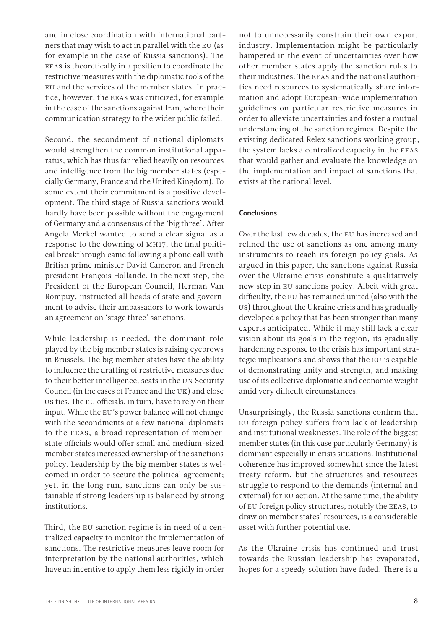and in close coordination with international partners that may wish to act in parallel with the EU (as for example in the case of Russia sanctions). The EEAS is theoretically in a position to coordinate the restrictive measures with the diplomatic tools of the EU and the services of the member states. In practice, however, the EEAS was criticized, for example in the case of the sanctions against Iran, where their communication strategy to the wider public failed.

Second, the secondment of national diplomats would strengthen the common institutional apparatus, which has thus far relied heavily on resources and intelligence from the big member states (especially Germany, France and the United Kingdom). To some extent their commitment is a positive development. The third stage of Russia sanctions would hardly have been possible without the engagement of Germany and a consensus of the 'big three'. After Angela Merkel wanted to send a clear signal as a response to the downing of MH17, the final political breakthrough came following a phone call with British prime minister David Cameron and French president François Hollande. In the next step, the President of the European Council, Herman Van Rompuy, instructed all heads of state and government to advise their ambassadors to work towards an agreement on 'stage three' sanctions.

While leadership is needed, the dominant role played by the big member states is raising eyebrows in Brussels. The big member states have the ability to influence the drafting of restrictive measures due to their better intelligence, seats in the UN Security Council (in the cases of France and the UK) and close US ties. The EU officials, in turn, have to rely on their input. While the EU's power balance will not change with the secondments of a few national diplomats to the EEAS, a broad representation of memberstate officials would offer small and medium-sized member states increased ownership of the sanctions policy. Leadership by the big member states is welcomed in order to secure the political agreement; yet, in the long run, sanctions can only be sustainable if strong leadership is balanced by strong institutions.

Third, the EU sanction regime is in need of a centralized capacity to monitor the implementation of sanctions. The restrictive measures leave room for interpretation by the national authorities, which have an incentive to apply them less rigidly in order

not to unnecessarily constrain their own export industry. Implementation might be particularly hampered in the event of uncertainties over how other member states apply the sanction rules to their industries. The EEAS and the national authorities need resources to systematically share information and adopt European-wide implementation guidelines on particular restrictive measures in order to alleviate uncertainties and foster a mutual understanding of the sanction regimes. Despite the existing dedicated Relex sanctions working group, the system lacks a centralized capacity in the EEAS that would gather and evaluate the knowledge on the implementation and impact of sanctions that exists at the national level.

#### Conclusions

Over the last few decades, the EU has increased and refined the use of sanctions as one among many instruments to reach its foreign policy goals. As argued in this paper, the sanctions against Russia over the Ukraine crisis constitute a qualitatively new step in EU sanctions policy. Albeit with great difficulty, the EU has remained united (also with the US) throughout the Ukraine crisis and has gradually developed a policy that has been stronger than many experts anticipated. While it may still lack a clear vision about its goals in the region, its gradually hardening response to the crisis has important strategic implications and shows that the EU is capable of demonstrating unity and strength, and making use of its collective diplomatic and economic weight amid very difficult circumstances.

Unsurprisingly, the Russia sanctions confirm that EU foreign policy suffers from lack of leadership and institutional weaknesses. The role of the biggest member states (in this case particularly Germany) is dominant especially in crisis situations. Institutional coherence has improved somewhat since the latest treaty reform, but the structures and resources struggle to respond to the demands (internal and external) for EU action. At the same time, the ability of EU foreign policy structures, notably the EEAS, to draw on member states' resources, is a considerable asset with further potential use.

As the Ukraine crisis has continued and trust towards the Russian leadership has evaporated, hopes for a speedy solution have faded. There is a